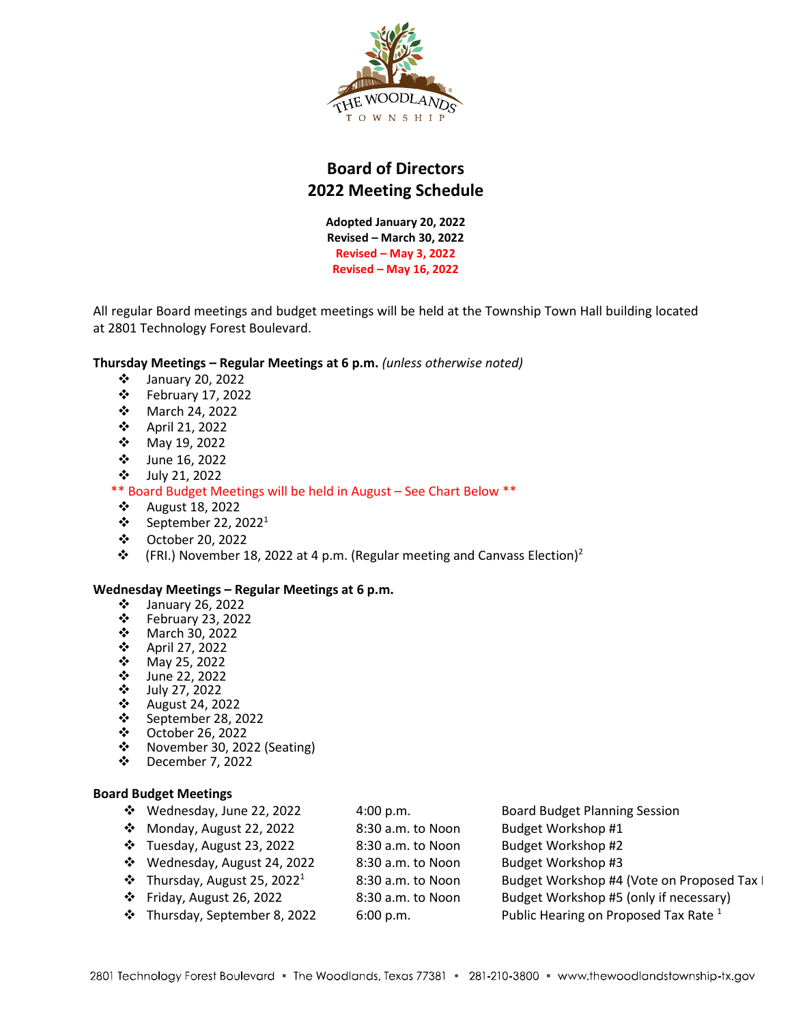

# **Board of Directors 2022 Meeting Schedule**

**Adopted January 20, 2022 Revised – March 30, 2022 Revised – May 3, 2022 Revised – May 16, 2022**

All regular Board meetings and budget meetings will be held at the Township Town Hall building located at 2801 Technology Forest Boulevard.

## **Thursday Meetings – Regular Meetings at 6 p.m.** *(unless otherwise noted)*

- January 20, 2022
- February 17, 2022
- March 24, 2022
- April 21, 2022
- May 19, 2022
- June 16, 2022
- July 21, 2022

## \*\* Board Budget Meetings will be held in August – See Chart Below \*\*

- $\cdot$  August 18, 2022
- $\cdot$  September 22, 2022<sup>1</sup>
- October 20, 2022
- $\mathbf{\hat{P}}$  (FRI.) November 18, 2022 at 4 p.m. (Regular meeting and Canvass Election)<sup>2</sup>

#### **Wednesday Meetings – Regular Meetings at 6 p.m.**

- January 26, 2022
- February 23, 2022
- March 30, 2022
- April 27, 2022
- $\begin{array}{cc} \text{\textbullet} & \text{May } 25, 2022 \\ \text{\textbullet} & \text{June } 22, 2022 \end{array}$
- ❖ June 22, 2022<br>❖ July 27, 2022
- July 27, 2022
- August 24, 2022
- ❖ September 28, 2022<br>❖ October 26, 2022
- ❖ October 26, 2022<br>❖ November 30, 202
- ❖ November 30, 2022 (Seating)<br>❖ December 7, 2022
- December 7, 2022

#### **Board Budget Meetings**

| ❖ Wednesday, June 22, 2022                    | 4:00 p.m.         | <b>Board Budget Planning Session</b>       |
|-----------------------------------------------|-------------------|--------------------------------------------|
| $\div$ Monday, August 22, 2022                | 8:30 a.m. to Noon | Budget Workshop #1                         |
| $\div$ Tuesday, August 23, 2022               | 8:30 a.m. to Noon | Budget Workshop #2                         |
| ❖ Wednesday, August 24, 2022                  | 8:30 a.m. to Noon | Budget Workshop #3                         |
| $\div$ Thursday, August 25, 2022 <sup>1</sup> | 8:30 a.m. to Noon | Budget Workshop #4 (Vote on Proposed Tax I |
| $\cdot$ Friday, August 26, 2022               | 8:30 a.m. to Noon | Budget Workshop #5 (only if necessary)     |

**•** Thursday, September 8, 2022 6:00 p.m. Public Hearing on Proposed Tax Rate  $^1$